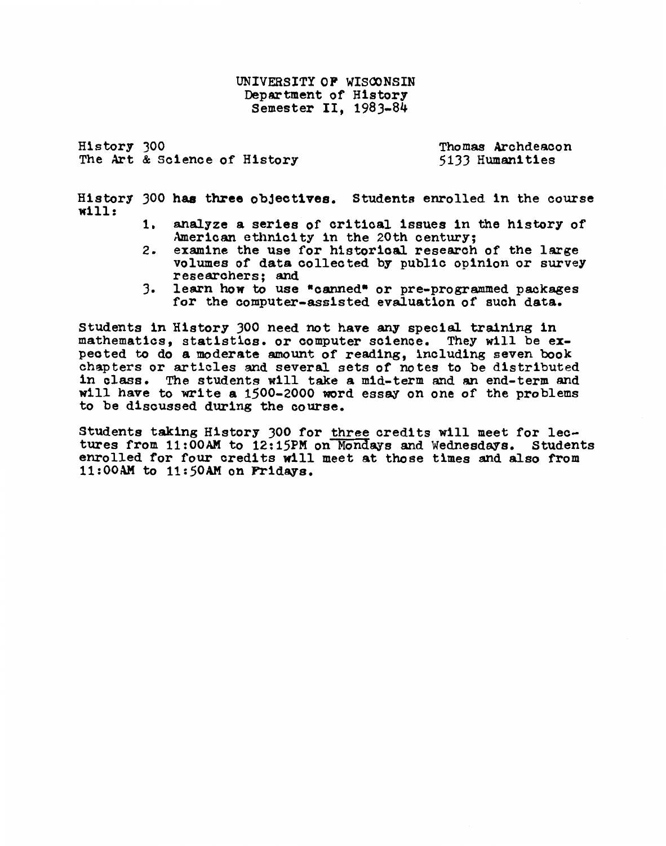UNIVERSITY OF WISCONSIN Department of History Semester II, 1983-84

History JOO The Art & Science of History

Thomas Archdeacon 5133 Humanities

History 300 has three objectives. Students enrolled in the course will:

- 1. analyze a series of critical issues in the history of American ethnicity in the 20th century;<br>examine the use for historical research of the large
- 2. examine the use for historical research of the large<br>volumes of data collected by public opinion or survey<br>researchers; and<br>3. learn how to use "canned" or pre-programmed packages
- learn how to use "canned" or pre-programmed packages for the computer-assisted evaluation of such data.

students in History JOO need not have any special training in mathematics, statistics. or computer science. They will be expected to do a moderate amount of reading, including seven book chapters or articles and several sets of notes to be distributed in class. The students will take a m1d-term and an end-term and will have to write a 1500-2000 word essay on one of the problems to be discussed during the course.

Students tak1ng History JOO for three cred1ts w111 meet for lectures from 11:00AM to 12:15PM on Mondays and Wednesdays. Students enrolled for four credits will meet at those times and also from  $11:00$ AM to  $11:50$ AM on Fridays.